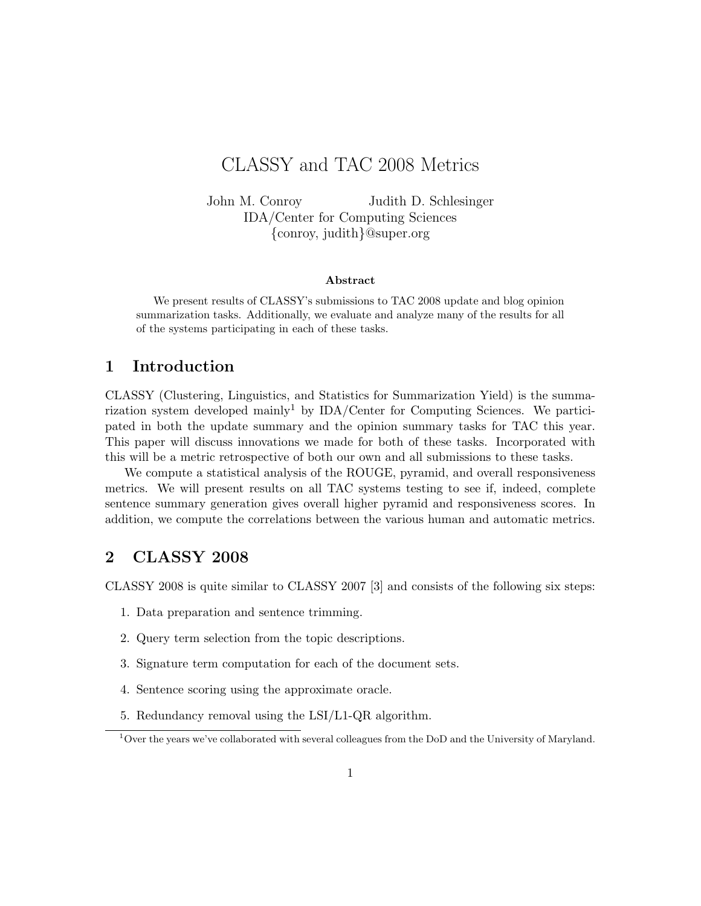# CLASSY and TAC 2008 Metrics

John M. Conroy Judith D. Schlesinger IDA/Center for Computing Sciences {conroy, judith}@super.org

#### Abstract

We present results of CLASSY's submissions to TAC 2008 update and blog opinion summarization tasks. Additionally, we evaluate and analyze many of the results for all of the systems participating in each of these tasks.

#### 1 Introduction

CLASSY (Clustering, Linguistics, and Statistics for Summarization Yield) is the summarization system developed mainly<sup>1</sup> by  $IDA/C$ enter for Computing Sciences. We participated in both the update summary and the opinion summary tasks for TAC this year. This paper will discuss innovations we made for both of these tasks. Incorporated with this will be a metric retrospective of both our own and all submissions to these tasks.

We compute a statistical analysis of the ROUGE, pyramid, and overall responsiveness metrics. We will present results on all TAC systems testing to see if, indeed, complete sentence summary generation gives overall higher pyramid and responsiveness scores. In addition, we compute the correlations between the various human and automatic metrics.

#### 2 CLASSY 2008

CLASSY 2008 is quite similar to CLASSY 2007 [3] and consists of the following six steps:

- 1. Data preparation and sentence trimming.
- 2. Query term selection from the topic descriptions.
- 3. Signature term computation for each of the document sets.
- 4. Sentence scoring using the approximate oracle.
- 5. Redundancy removal using the LSI/L1-QR algorithm.

<sup>&</sup>lt;sup>1</sup>Over the years we've collaborated with several colleagues from the DoD and the University of Maryland.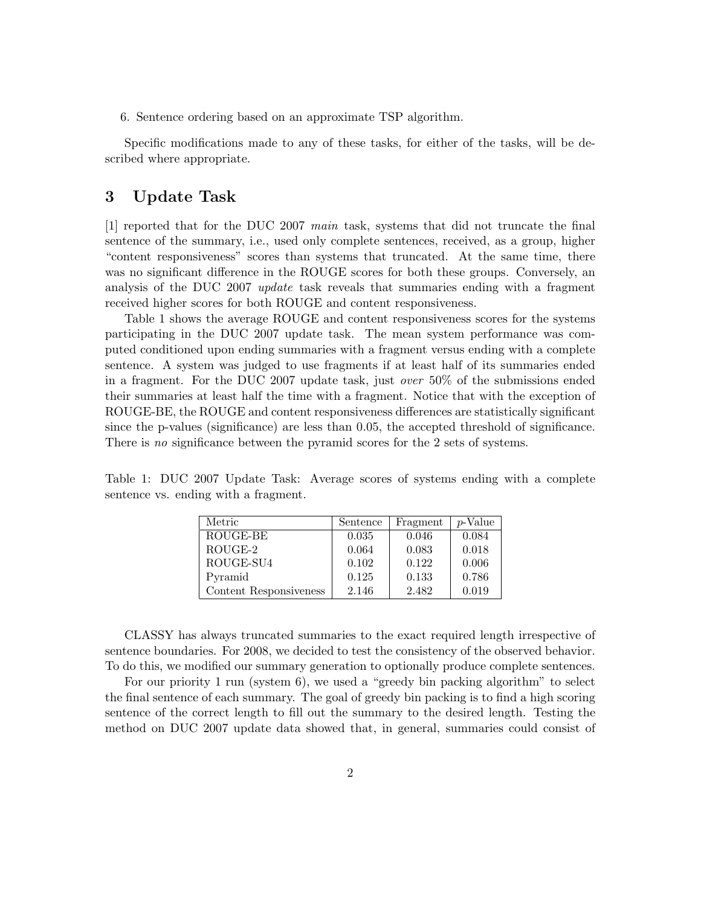6. Sentence ordering based on an approximate TSP algorithm.

Specific modifications made to any of these tasks, for either of the tasks, will be described where appropriate.

#### 3 Update Task

[1] reported that for the DUC 2007 main task, systems that did not truncate the final sentence of the summary, i.e., used only complete sentences, received, as a group, higher "content responsiveness" scores than systems that truncated. At the same time, there was no significant difference in the ROUGE scores for both these groups. Conversely, an analysis of the DUC 2007 update task reveals that summaries ending with a fragment received higher scores for both ROUGE and content responsiveness.

Table 1 shows the average ROUGE and content responsiveness scores for the systems participating in the DUC 2007 update task. The mean system performance was computed conditioned upon ending summaries with a fragment versus ending with a complete sentence. A system was judged to use fragments if at least half of its summaries ended in a fragment. For the DUC 2007 update task, just over 50% of the submissions ended their summaries at least half the time with a fragment. Notice that with the exception of ROUGE-BE, the ROUGE and content responsiveness differences are statistically significant since the p-values (significance) are less than 0.05, the accepted threshold of significance. There is no significance between the pyramid scores for the 2 sets of systems.

Table 1: DUC 2007 Update Task: Average scores of systems ending with a complete sentence vs. ending with a fragment.

| Metric                 | Sentence | Fragment | p-Value |
|------------------------|----------|----------|---------|
| ROUGE-BE               | 0.035    | 0.046    | 0.084   |
| ROUGE-2                | 0.064    | 0.083    | 0.018   |
| ROUGE-SU4              | 0.102    | 0.122    | 0.006   |
| Pyramid                | 0.125    | 0.133    | 0.786   |
| Content Responsiveness | 2.146    | 2.482    | 0.019   |

CLASSY has always truncated summaries to the exact required length irrespective of sentence boundaries. For 2008, we decided to test the consistency of the observed behavior. To do this, we modified our summary generation to optionally produce complete sentences.

For our priority 1 run (system 6), we used a "greedy bin packing algorithm" to select the final sentence of each summary. The goal of greedy bin packing is to find a high scoring sentence of the correct length to fill out the summary to the desired length. Testing the method on DUC 2007 update data showed that, in general, summaries could consist of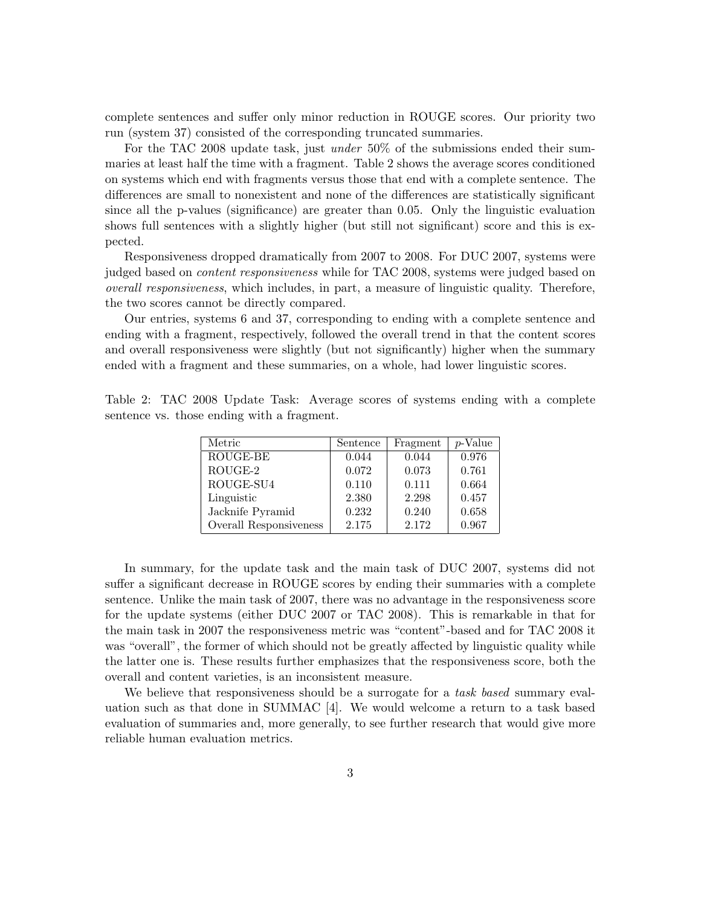complete sentences and suffer only minor reduction in ROUGE scores. Our priority two run (system 37) consisted of the corresponding truncated summaries.

For the TAC 2008 update task, just *under* 50% of the submissions ended their summaries at least half the time with a fragment. Table 2 shows the average scores conditioned on systems which end with fragments versus those that end with a complete sentence. The differences are small to nonexistent and none of the differences are statistically significant since all the p-values (significance) are greater than 0.05. Only the linguistic evaluation shows full sentences with a slightly higher (but still not significant) score and this is expected.

Responsiveness dropped dramatically from 2007 to 2008. For DUC 2007, systems were judged based on *content responsiveness* while for TAC 2008, systems were judged based on overall responsiveness, which includes, in part, a measure of linguistic quality. Therefore, the two scores cannot be directly compared.

Our entries, systems 6 and 37, corresponding to ending with a complete sentence and ending with a fragment, respectively, followed the overall trend in that the content scores and overall responsiveness were slightly (but not significantly) higher when the summary ended with a fragment and these summaries, on a whole, had lower linguistic scores.

Table 2: TAC 2008 Update Task: Average scores of systems ending with a complete sentence vs. those ending with a fragment.

| Metric                 | Sentence | Fragment | p-Value |
|------------------------|----------|----------|---------|
| ROUGE-BE               | 0.044    | 0.044    | 0.976   |
| ROUGE-2                | 0.072    | 0.073    | 0.761   |
| ROUGE-SU4              | 0.110    | 0.111    | 0.664   |
| Linguistic             | 2.380    | 2.298    | 0.457   |
| Jacknife Pyramid       | 0.232    | 0.240    | 0.658   |
| Overall Responsiveness | 2.175    | 2.172    | 0.967   |

In summary, for the update task and the main task of DUC 2007, systems did not suffer a significant decrease in ROUGE scores by ending their summaries with a complete sentence. Unlike the main task of 2007, there was no advantage in the responsiveness score for the update systems (either DUC 2007 or TAC 2008). This is remarkable in that for the main task in 2007 the responsiveness metric was "content"-based and for TAC 2008 it was "overall", the former of which should not be greatly affected by linguistic quality while the latter one is. These results further emphasizes that the responsiveness score, both the overall and content varieties, is an inconsistent measure.

We believe that responsiveness should be a surrogate for a *task based* summary evaluation such as that done in SUMMAC [4]. We would welcome a return to a task based evaluation of summaries and, more generally, to see further research that would give more reliable human evaluation metrics.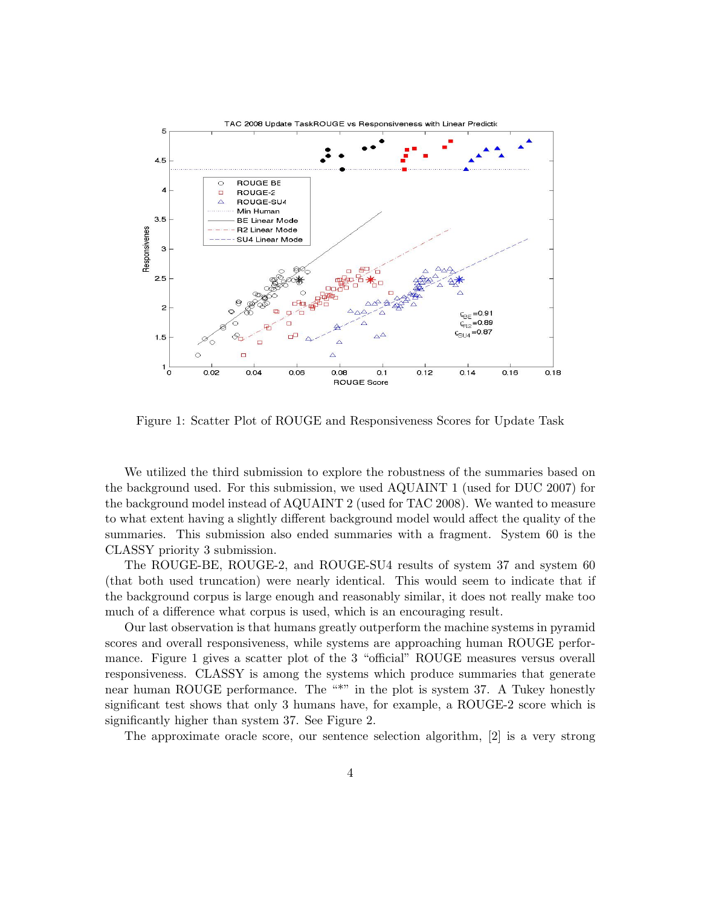

Figure 1: Scatter Plot of ROUGE and Responsiveness Scores for Update Task

We utilized the third submission to explore the robustness of the summaries based on the background used. For this submission, we used AQUAINT 1 (used for DUC 2007) for the background model instead of AQUAINT 2 (used for TAC 2008). We wanted to measure to what extent having a slightly different background model would affect the quality of the summaries. This submission also ended summaries with a fragment. System 60 is the CLASSY priority 3 submission.

The ROUGE-BE, ROUGE-2, and ROUGE-SU4 results of system 37 and system 60 (that both used truncation) were nearly identical. This would seem to indicate that if the background corpus is large enough and reasonably similar, it does not really make too much of a difference what corpus is used, which is an encouraging result.

Our last observation is that humans greatly outperform the machine systems in pyramid scores and overall responsiveness, while systems are approaching human ROUGE performance. Figure 1 gives a scatter plot of the 3 "official" ROUGE measures versus overall responsiveness. CLASSY is among the systems which produce summaries that generate near human ROUGE performance. The "\*" in the plot is system 37. A Tukey honestly significant test shows that only 3 humans have, for example, a ROUGE-2 score which is significantly higher than system 37. See Figure 2.

The approximate oracle score, our sentence selection algorithm, [2] is a very strong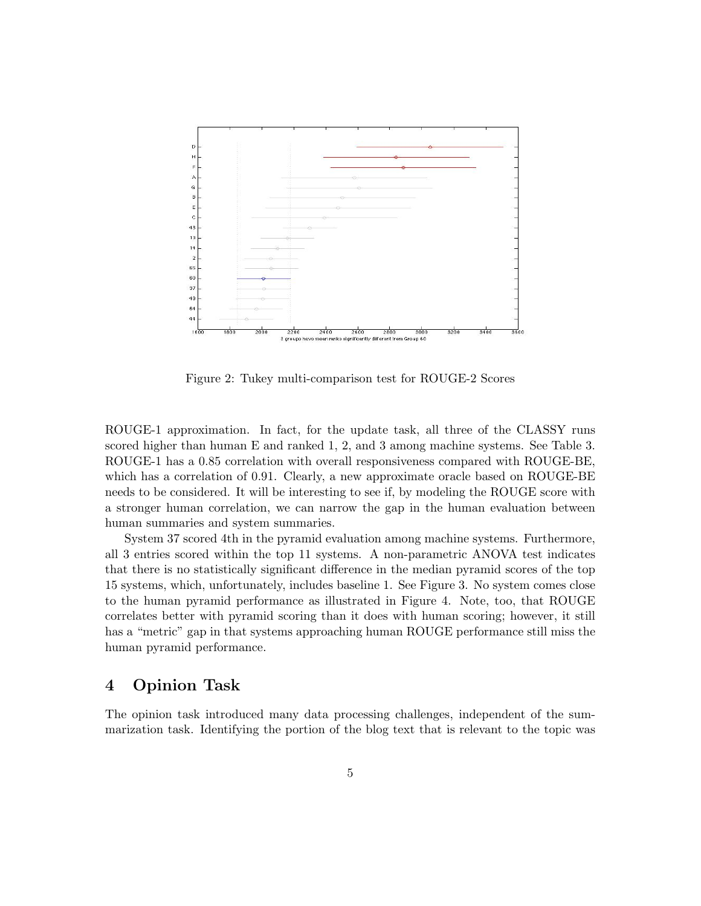

Figure 2: Tukey multi-comparison test for ROUGE-2 Scores

ROUGE-1 approximation. In fact, for the update task, all three of the CLASSY runs scored higher than human E and ranked 1, 2, and 3 among machine systems. See Table 3. ROUGE-1 has a 0.85 correlation with overall responsiveness compared with ROUGE-BE, which has a correlation of 0.91. Clearly, a new approximate oracle based on ROUGE-BE needs to be considered. It will be interesting to see if, by modeling the ROUGE score with a stronger human correlation, we can narrow the gap in the human evaluation between human summaries and system summaries.

System 37 scored 4th in the pyramid evaluation among machine systems. Furthermore, all 3 entries scored within the top 11 systems. A non-parametric ANOVA test indicates that there is no statistically significant difference in the median pyramid scores of the top 15 systems, which, unfortunately, includes baseline 1. See Figure 3. No system comes close to the human pyramid performance as illustrated in Figure 4. Note, too, that ROUGE correlates better with pyramid scoring than it does with human scoring; however, it still has a "metric" gap in that systems approaching human ROUGE performance still miss the human pyramid performance.

## 4 Opinion Task

The opinion task introduced many data processing challenges, independent of the summarization task. Identifying the portion of the blog text that is relevant to the topic was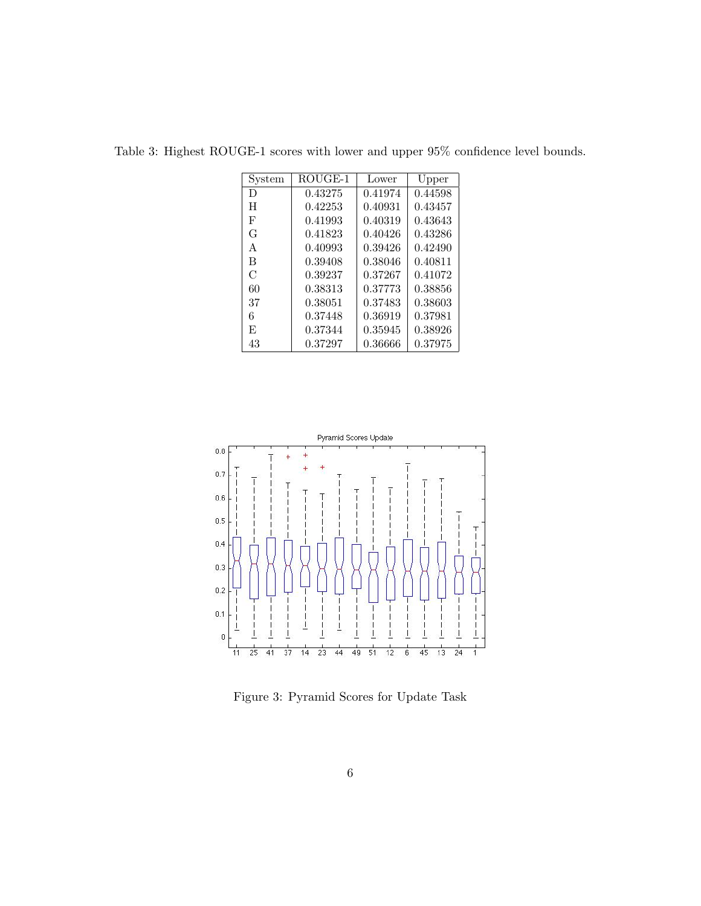| System | $ROUGE-1$ | Lower   | Upper   |
|--------|-----------|---------|---------|
| D      | 0.43275   | 0.41974 | 0.44598 |
| H      | 0.42253   | 0.40931 | 0.43457 |
| F      | 0.41993   | 0.40319 | 0.43643 |
| G      | 0.41823   | 0.40426 | 0.43286 |
| A      | 0.40993   | 0.39426 | 0.42490 |
| B      | 0.39408   | 0.38046 | 0.40811 |
| C      | 0.39237   | 0.37267 | 0.41072 |
| 60     | 0.38313   | 0.37773 | 0.38856 |
| 37     | 0.38051   | 0.37483 | 0.38603 |
| 6      | 0.37448   | 0.36919 | 0.37981 |
| F,     | 0.37344   | 0.35945 | 0.38926 |
| 43     | 0.37297   | 0.36666 | 0.37975 |

Table 3: Highest ROUGE-1 scores with lower and upper 95% confidence level bounds.



Figure 3: Pyramid Scores for Update Task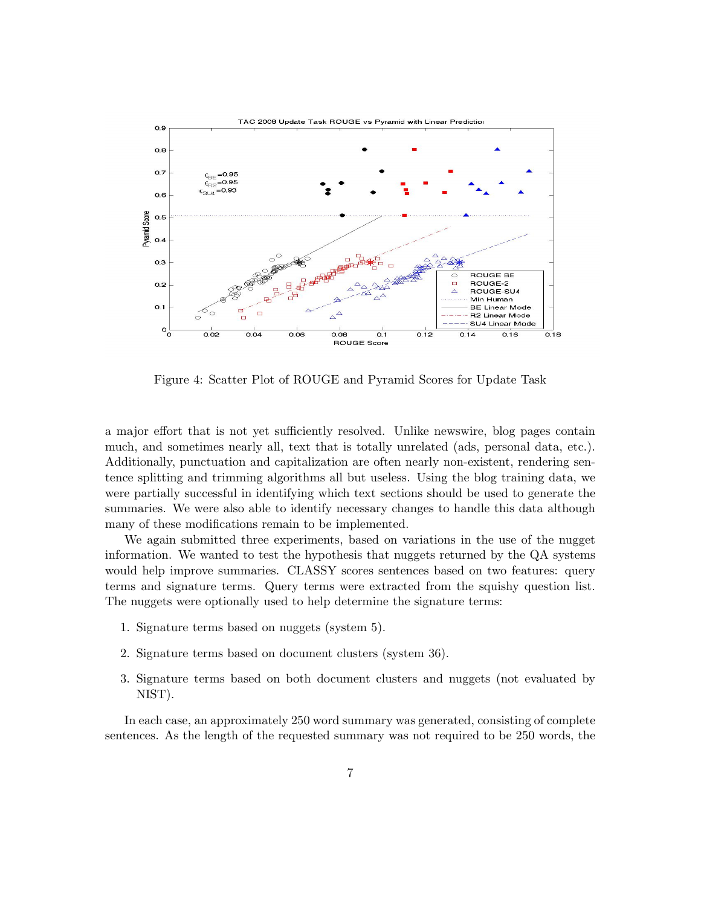

Figure 4: Scatter Plot of ROUGE and Pyramid Scores for Update Task

a major effort that is not yet sufficiently resolved. Unlike newswire, blog pages contain much, and sometimes nearly all, text that is totally unrelated (ads, personal data, etc.). Additionally, punctuation and capitalization are often nearly non-existent, rendering sentence splitting and trimming algorithms all but useless. Using the blog training data, we were partially successful in identifying which text sections should be used to generate the summaries. We were also able to identify necessary changes to handle this data although many of these modifications remain to be implemented.

We again submitted three experiments, based on variations in the use of the nugget information. We wanted to test the hypothesis that nuggets returned by the QA systems would help improve summaries. CLASSY scores sentences based on two features: query terms and signature terms. Query terms were extracted from the squishy question list. The nuggets were optionally used to help determine the signature terms:

- 1. Signature terms based on nuggets (system 5).
- 2. Signature terms based on document clusters (system 36).
- 3. Signature terms based on both document clusters and nuggets (not evaluated by NIST).

In each case, an approximately 250 word summary was generated, consisting of complete sentences. As the length of the requested summary was not required to be 250 words, the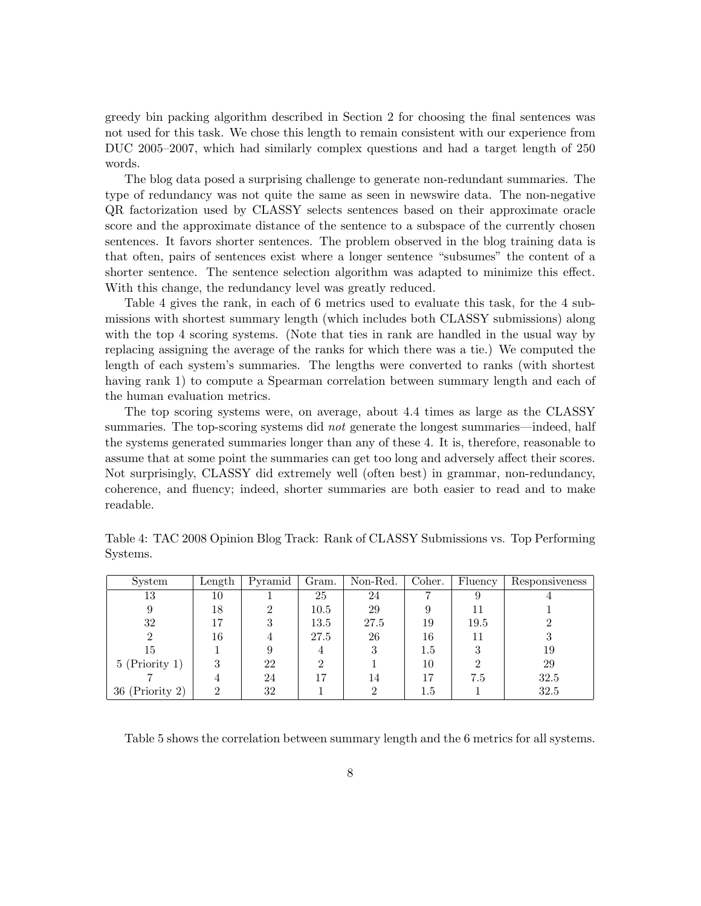greedy bin packing algorithm described in Section 2 for choosing the final sentences was not used for this task. We chose this length to remain consistent with our experience from DUC 2005–2007, which had similarly complex questions and had a target length of 250 words.

The blog data posed a surprising challenge to generate non-redundant summaries. The type of redundancy was not quite the same as seen in newswire data. The non-negative QR factorization used by CLASSY selects sentences based on their approximate oracle score and the approximate distance of the sentence to a subspace of the currently chosen sentences. It favors shorter sentences. The problem observed in the blog training data is that often, pairs of sentences exist where a longer sentence "subsumes" the content of a shorter sentence. The sentence selection algorithm was adapted to minimize this effect. With this change, the redundancy level was greatly reduced.

Table 4 gives the rank, in each of 6 metrics used to evaluate this task, for the 4 submissions with shortest summary length (which includes both CLASSY submissions) along with the top 4 scoring systems. (Note that ties in rank are handled in the usual way by replacing assigning the average of the ranks for which there was a tie.) We computed the length of each system's summaries. The lengths were converted to ranks (with shortest having rank 1) to compute a Spearman correlation between summary length and each of the human evaluation metrics.

The top scoring systems were, on average, about 4.4 times as large as the CLASSY summaries. The top-scoring systems did *not* generate the longest summaries—indeed, half the systems generated summaries longer than any of these 4. It is, therefore, reasonable to assume that at some point the summaries can get too long and adversely affect their scores. Not surprisingly, CLASSY did extremely well (often best) in grammar, non-redundancy, coherence, and fluency; indeed, shorter summaries are both easier to read and to make readable.

| System            | Length | Pyramid | Gram. | Non-Red. | Coher.  | Fluency | Responsiveness |
|-------------------|--------|---------|-------|----------|---------|---------|----------------|
| 13                | 10     |         | 25    | 24       |         |         |                |
| 9                 | 18     | ച       | 10.5  | 29       |         |         |                |
| 32                | 17     | 3       | 13.5  | 27.5     | 19      | 19.5    |                |
| റ                 | 16     |         | 27.5  | 26       | 16      |         | 3              |
| 15                |        |         | 4     |          | $1.5\,$ |         | 19             |
| $5$ (Priority 1)  | 3      | 22      | ച     |          | 10      | ച       | 29             |
|                   |        | 24      | 17    | 14       | 17      | 7.5     | 32.5           |
| $36$ (Priority 2) | ച      | 32      |       |          | $1.5\,$ |         | 32.5           |

Table 4: TAC 2008 Opinion Blog Track: Rank of CLASSY Submissions vs. Top Performing Systems.

Table 5 shows the correlation between summary length and the 6 metrics for all systems.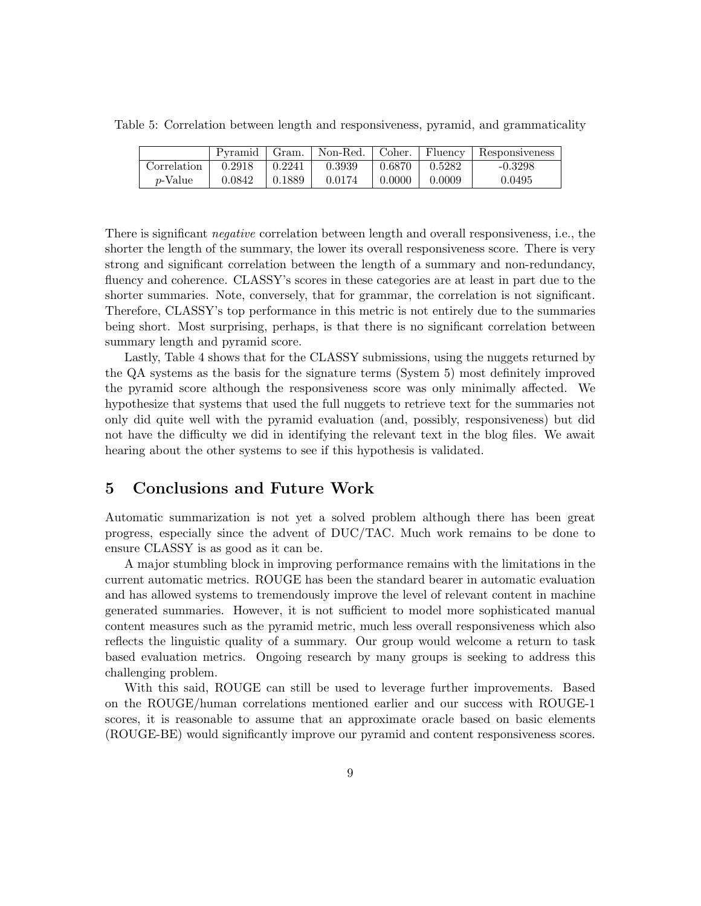Table 5: Correlation between length and responsiveness, pyramid, and grammaticality

|                 |        |        |        |        |        | Pyramid   Gram.   Non-Red.   Coher.   Fluency   Responsiveness |
|-----------------|--------|--------|--------|--------|--------|----------------------------------------------------------------|
| Correlation     | 0.2918 | 0.2241 | 0.3939 | 0.6870 | 0.5282 | $-0.3298$                                                      |
| <i>p</i> -Value | 0.0842 | 0.1889 | 0.0174 | 0.0000 | 0.0009 | 0.0495                                                         |

There is significant *negative* correlation between length and overall responsiveness, i.e., the shorter the length of the summary, the lower its overall responsiveness score. There is very strong and significant correlation between the length of a summary and non-redundancy, fluency and coherence. CLASSY's scores in these categories are at least in part due to the shorter summaries. Note, conversely, that for grammar, the correlation is not significant. Therefore, CLASSY's top performance in this metric is not entirely due to the summaries being short. Most surprising, perhaps, is that there is no significant correlation between summary length and pyramid score.

Lastly, Table 4 shows that for the CLASSY submissions, using the nuggets returned by the QA systems as the basis for the signature terms (System 5) most definitely improved the pyramid score although the responsiveness score was only minimally affected. We hypothesize that systems that used the full nuggets to retrieve text for the summaries not only did quite well with the pyramid evaluation (and, possibly, responsiveness) but did not have the difficulty we did in identifying the relevant text in the blog files. We await hearing about the other systems to see if this hypothesis is validated.

### 5 Conclusions and Future Work

Automatic summarization is not yet a solved problem although there has been great progress, especially since the advent of DUC/TAC. Much work remains to be done to ensure CLASSY is as good as it can be.

A major stumbling block in improving performance remains with the limitations in the current automatic metrics. ROUGE has been the standard bearer in automatic evaluation and has allowed systems to tremendously improve the level of relevant content in machine generated summaries. However, it is not sufficient to model more sophisticated manual content measures such as the pyramid metric, much less overall responsiveness which also reflects the linguistic quality of a summary. Our group would welcome a return to task based evaluation metrics. Ongoing research by many groups is seeking to address this challenging problem.

With this said, ROUGE can still be used to leverage further improvements. Based on the ROUGE/human correlations mentioned earlier and our success with ROUGE-1 scores, it is reasonable to assume that an approximate oracle based on basic elements (ROUGE-BE) would significantly improve our pyramid and content responsiveness scores.